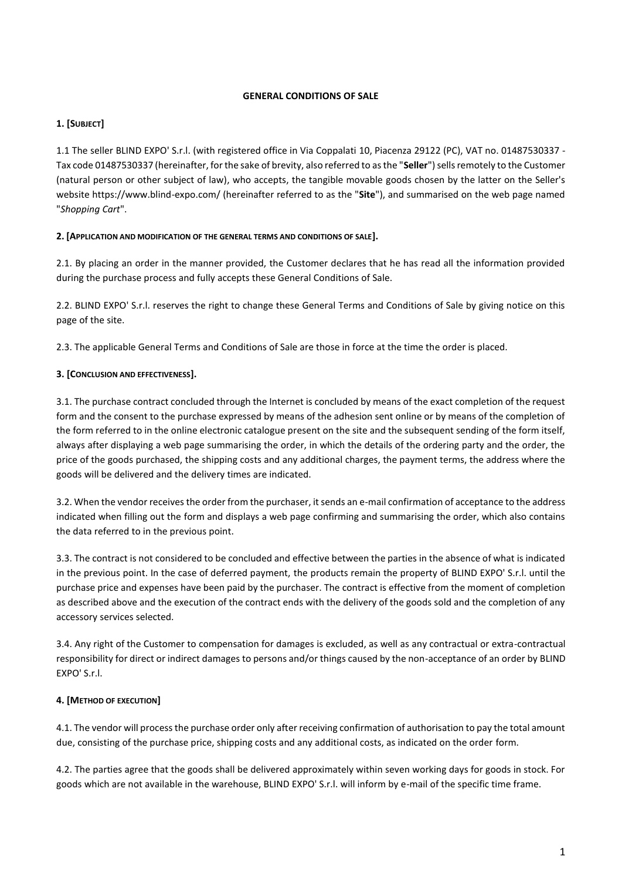#### **GENERAL CONDITIONS OF SALE**

## **1. [SUBJECT]**

1.1 The seller BLIND EXPO' S.r.l. (with registered office in Via Coppalati 10, Piacenza 29122 (PC), VAT no. 01487530337 - Tax code 01487530337 (hereinafter, for the sake of brevity, also referred to as the "**Seller**") sells remotely to the Customer (natural person or other subject of law), who accepts, the tangible movable goods chosen by the latter on the Seller's website https://www.blind-expo.com/ (hereinafter referred to as the "**Site**"), and summarised on the web page named "*Shopping Cart*".

#### **2. [APPLICATION AND MODIFICATION OF THE GENERAL TERMS AND CONDITIONS OF SALE].**

2.1. By placing an order in the manner provided, the Customer declares that he has read all the information provided during the purchase process and fully accepts these General Conditions of Sale.

2.2. BLIND EXPO' S.r.l. reserves the right to change these General Terms and Conditions of Sale by giving notice on this page of the site.

2.3. The applicable General Terms and Conditions of Sale are those in force at the time the order is placed.

## **3. [CONCLUSION AND EFFECTIVENESS].**

3.1. The purchase contract concluded through the Internet is concluded by means of the exact completion of the request form and the consent to the purchase expressed by means of the adhesion sent online or by means of the completion of the form referred to in the online electronic catalogue present on the site and the subsequent sending of the form itself, always after displaying a web page summarising the order, in which the details of the ordering party and the order, the price of the goods purchased, the shipping costs and any additional charges, the payment terms, the address where the goods will be delivered and the delivery times are indicated.

3.2. When the vendor receives the order from the purchaser, it sends an e-mail confirmation of acceptance to the address indicated when filling out the form and displays a web page confirming and summarising the order, which also contains the data referred to in the previous point.

3.3. The contract is not considered to be concluded and effective between the parties in the absence of what is indicated in the previous point. In the case of deferred payment, the products remain the property of BLIND EXPO' S.r.l. until the purchase price and expenses have been paid by the purchaser. The contract is effective from the moment of completion as described above and the execution of the contract ends with the delivery of the goods sold and the completion of any accessory services selected.

3.4. Any right of the Customer to compensation for damages is excluded, as well as any contractual or extra-contractual responsibility for direct or indirect damages to persons and/or things caused by the non-acceptance of an order by BLIND EXPO' S.r.l.

## **4. [METHOD OF EXECUTION]**

4.1. The vendor will process the purchase order only after receiving confirmation of authorisation to pay the total amount due, consisting of the purchase price, shipping costs and any additional costs, as indicated on the order form.

4.2. The parties agree that the goods shall be delivered approximately within seven working days for goods in stock. For goods which are not available in the warehouse, BLIND EXPO' S.r.l. will inform by e-mail of the specific time frame.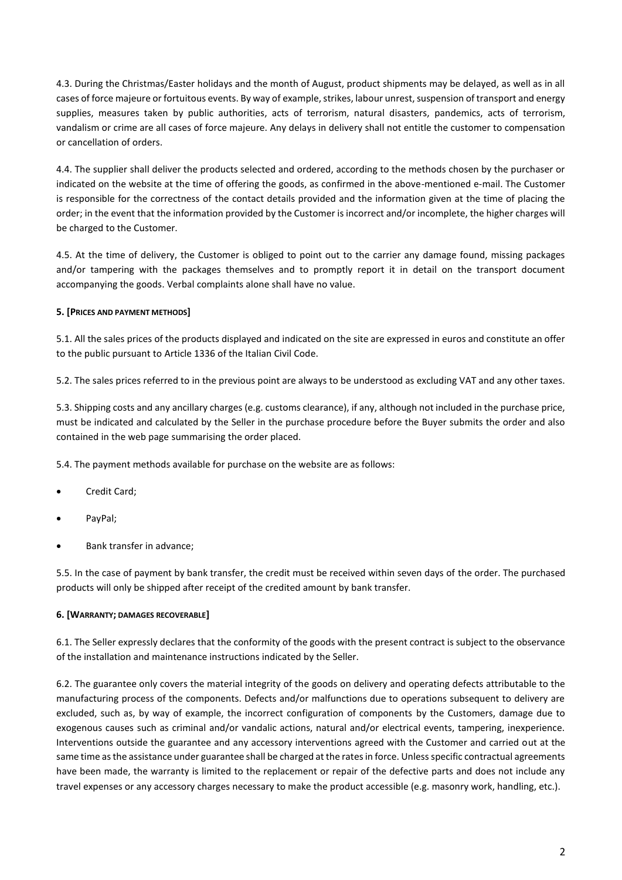4.3. During the Christmas/Easter holidays and the month of August, product shipments may be delayed, as well as in all cases of force majeure or fortuitous events. By way of example, strikes, labour unrest, suspension of transport and energy supplies, measures taken by public authorities, acts of terrorism, natural disasters, pandemics, acts of terrorism, vandalism or crime are all cases of force majeure. Any delays in delivery shall not entitle the customer to compensation or cancellation of orders.

4.4. The supplier shall deliver the products selected and ordered, according to the methods chosen by the purchaser or indicated on the website at the time of offering the goods, as confirmed in the above-mentioned e-mail. The Customer is responsible for the correctness of the contact details provided and the information given at the time of placing the order; in the event that the information provided by the Customer is incorrect and/or incomplete, the higher charges will be charged to the Customer.

4.5. At the time of delivery, the Customer is obliged to point out to the carrier any damage found, missing packages and/or tampering with the packages themselves and to promptly report it in detail on the transport document accompanying the goods. Verbal complaints alone shall have no value.

## **5. [PRICES AND PAYMENT METHODS]**

5.1. All the sales prices of the products displayed and indicated on the site are expressed in euros and constitute an offer to the public pursuant to [Article 1336 of the Italian Civil Code.](https://dejure.it/#/ricerca/fonti_documento?idDatabank=10&idDocMaster=166331&idUnitaDoc=828410&nVigUnitaDoc=1&docIdx=1&isCorrelazioniSearch=true&correlatoA=Formulari)

5.2. The sales prices referred to in the previous point are always to be understood as excluding VAT and any other taxes.

5.3. Shipping costs and any ancillary charges (e.g. customs clearance), if any, although not included in the purchase price, must be indicated and calculated by the Seller in the purchase procedure before the Buyer submits the order and also contained in the web page summarising the order placed.

5.4. The payment methods available for purchase on the website are as follows:

- Credit Card;
- PayPal;
- Bank transfer in advance;

5.5. In the case of payment by bank transfer, the credit must be received within seven days of the order. The purchased products will only be shipped after receipt of the credited amount by bank transfer.

#### **6. [WARRANTY; DAMAGES RECOVERABLE]**

6.1. The Seller expressly declares that the conformity of the goods with the present contract is subject to the observance of the installation and maintenance instructions indicated by the Seller.

6.2. The guarantee only covers the material integrity of the goods on delivery and operating defects attributable to the manufacturing process of the components. Defects and/or malfunctions due to operations subsequent to delivery are excluded, such as, by way of example, the incorrect configuration of components by the Customers, damage due to exogenous causes such as criminal and/or vandalic actions, natural and/or electrical events, tampering, inexperience. Interventions outside the guarantee and any accessory interventions agreed with the Customer and carried out at the same time as the assistance under guarantee shall be charged at the rates in force. Unless specific contractual agreements have been made, the warranty is limited to the replacement or repair of the defective parts and does not include any travel expenses or any accessory charges necessary to make the product accessible (e.g. masonry work, handling, etc.).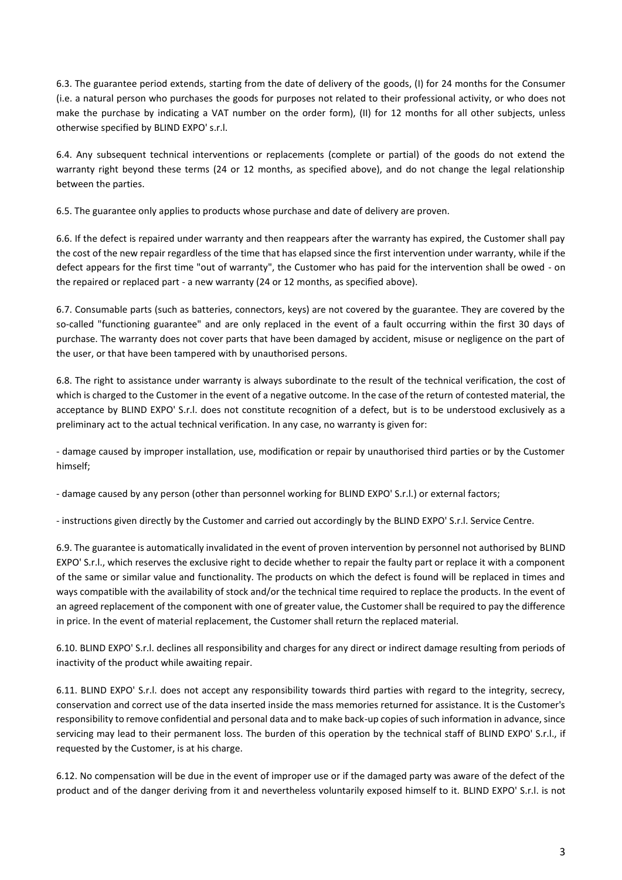6.3. The guarantee period extends, starting from the date of delivery of the goods, (I) for 24 months for the Consumer (i.e. a natural person who purchases the goods for purposes not related to their professional activity, or who does not make the purchase by indicating a VAT number on the order form), (II) for 12 months for all other subjects, unless otherwise specified by BLIND EXPO' s.r.l.

6.4. Any subsequent technical interventions or replacements (complete or partial) of the goods do not extend the warranty right beyond these terms (24 or 12 months, as specified above), and do not change the legal relationship between the parties.

6.5. The guarantee only applies to products whose purchase and date of delivery are proven.

6.6. If the defect is repaired under warranty and then reappears after the warranty has expired, the Customer shall pay the cost of the new repair regardless of the time that has elapsed since the first intervention under warranty, while if the defect appears for the first time "out of warranty", the Customer who has paid for the intervention shall be owed - on the repaired or replaced part - a new warranty (24 or 12 months, as specified above).

6.7. Consumable parts (such as batteries, connectors, keys) are not covered by the guarantee. They are covered by the so-called "functioning guarantee" and are only replaced in the event of a fault occurring within the first 30 days of purchase. The warranty does not cover parts that have been damaged by accident, misuse or negligence on the part of the user, or that have been tampered with by unauthorised persons.

6.8. The right to assistance under warranty is always subordinate to the result of the technical verification, the cost of which is charged to the Customer in the event of a negative outcome. In the case of the return of contested material, the acceptance by BLIND EXPO' S.r.l. does not constitute recognition of a defect, but is to be understood exclusively as a preliminary act to the actual technical verification. In any case, no warranty is given for:

- damage caused by improper installation, use, modification or repair by unauthorised third parties or by the Customer himself;

- damage caused by any person (other than personnel working for BLIND EXPO' S.r.l.) or external factors;

- instructions given directly by the Customer and carried out accordingly by the BLIND EXPO' S.r.l. Service Centre.

6.9. The guarantee is automatically invalidated in the event of proven intervention by personnel not authorised by BLIND EXPO' S.r.l., which reserves the exclusive right to decide whether to repair the faulty part or replace it with a component of the same or similar value and functionality. The products on which the defect is found will be replaced in times and ways compatible with the availability of stock and/or the technical time required to replace the products. In the event of an agreed replacement of the component with one of greater value, the Customer shall be required to pay the difference in price. In the event of material replacement, the Customer shall return the replaced material.

6.10. BLIND EXPO' S.r.l. declines all responsibility and charges for any direct or indirect damage resulting from periods of inactivity of the product while awaiting repair.

6.11. BLIND EXPO' S.r.l. does not accept any responsibility towards third parties with regard to the integrity, secrecy, conservation and correct use of the data inserted inside the mass memories returned for assistance. It is the Customer's responsibility to remove confidential and personal data and to make back-up copies of such information in advance, since servicing may lead to their permanent loss. The burden of this operation by the technical staff of BLIND EXPO' S.r.l., if requested by the Customer, is at his charge.

6.12. No compensation will be due in the event of improper use or if the damaged party was aware of the defect of the product and of the danger deriving from it and nevertheless voluntarily exposed himself to it. BLIND EXPO' S.r.l. is not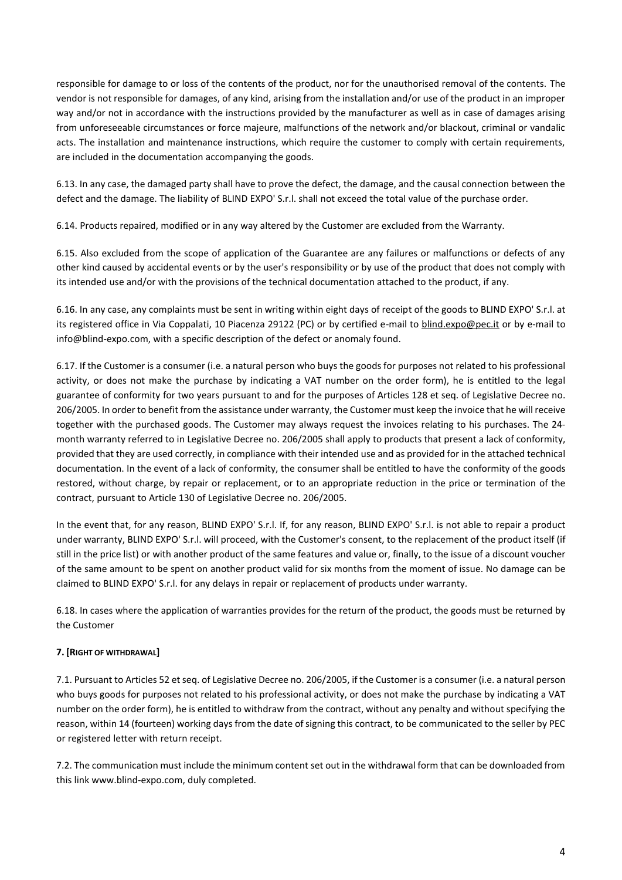responsible for damage to or loss of the contents of the product, nor for the unauthorised removal of the contents. The vendor is not responsible for damages, of any kind, arising from the installation and/or use of the product in an improper way and/or not in accordance with the instructions provided by the manufacturer as well as in case of damages arising from unforeseeable circumstances or force majeure, malfunctions of the network and/or blackout, criminal or vandalic acts. The installation and maintenance instructions, which require the customer to comply with certain requirements, are included in the documentation accompanying the goods.

6.13. In any case, the damaged party shall have to prove the defect, the damage, and the causal connection between the defect and the damage. The liability of BLIND EXPO' S.r.l. shall not exceed the total value of the purchase order.

6.14. Products repaired, modified or in any way altered by the Customer are excluded from the Warranty.

6.15. Also excluded from the scope of application of the Guarantee are any failures or malfunctions or defects of any other kind caused by accidental events or by the user's responsibility or by use of the product that does not comply with its intended use and/or with the provisions of the technical documentation attached to the product, if any.

6.16. In any case, any complaints must be sent in writing within eight days of receipt of the goods to BLIND EXPO' S.r.l. at its registered office in Via Coppalati, 10 Piacenza 29122 (PC) or by certified e-mail to [blind.expo@pec.it](mailto:blind.expo@pec.it) or by e-mail to info@blind-expo.com, with a specific description of the defect or anomaly found.

6.17. If the Customer is a consumer (i.e. a natural person who buys the goods for purposes not related to his professional activity, or does not make the purchase by indicating a VAT number on the order form), he is entitled to the legal guarantee of conformity for two years pursuant to and for the purposes of Articles 128 et seq. of Legislative Decree no. 206/2005. In order to benefit from the assistance under warranty, the Customer must keep the invoice that he will receive together with the purchased goods. The Customer may always request the invoices relating to his purchases. The 24 month warranty referred to in Legislative Decree no. 206/2005 shall apply to products that present a lack of conformity, provided that they are used correctly, in compliance with their intended use and as provided for in the attached technical documentation. In the event of a lack of conformity, the consumer shall be entitled to have the conformity of the goods restored, without charge, by repair or replacement, or to an appropriate reduction in the price or termination of the contract, pursuant to Article 130 of Legislative Decree no. 206/2005.

In the event that, for any reason, BLIND EXPO' S.r.l. If, for any reason, BLIND EXPO' S.r.l. is not able to repair a product under warranty, BLIND EXPO' S.r.l. will proceed, with the Customer's consent, to the replacement of the product itself (if still in the price list) or with another product of the same features and value or, finally, to the issue of a discount voucher of the same amount to be spent on another product valid for six months from the moment of issue. No damage can be claimed to BLIND EXPO' S.r.l. for any delays in repair or replacement of products under warranty.

6.18. In cases where the application of warranties provides for the return of the product, the goods must be returned by the Customer

# **7. [RIGHT OF WITHDRAWAL]**

7.1. Pursuant to Articles 52 etseq. of Legislative Decree no. 206/2005, if the Customer is a consumer (i.e. a natural person who buys goods for purposes not related to his professional activity, or does not make the purchase by indicating a VAT number on the order form), he is entitled to withdraw from the contract, without any penalty and without specifying the reason, within 14 (fourteen) working days from the date of signing this contract, to be communicated to the seller by PEC or registered letter with return receipt.

7.2. The communication must include the minimum content set out in the withdrawal form that can be downloaded from this link www.blind-expo.com, duly completed.